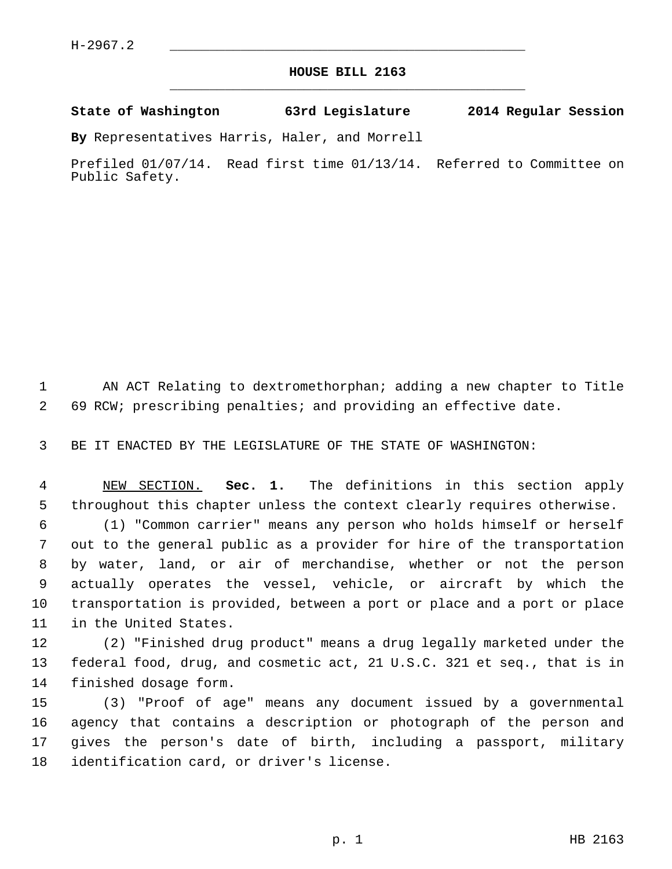## **HOUSE BILL 2163** \_\_\_\_\_\_\_\_\_\_\_\_\_\_\_\_\_\_\_\_\_\_\_\_\_\_\_\_\_\_\_\_\_\_\_\_\_\_\_\_\_\_\_\_\_

**State of Washington 63rd Legislature 2014 Regular Session**

**By** Representatives Harris, Haler, and Morrell

Prefiled 01/07/14. Read first time 01/13/14. Referred to Committee on Public Safety.

 1 AN ACT Relating to dextromethorphan; adding a new chapter to Title 2 69 RCW; prescribing penalties; and providing an effective date.

3 BE IT ENACTED BY THE LEGISLATURE OF THE STATE OF WASHINGTON:

 4 NEW SECTION. **Sec. 1.** The definitions in this section apply 5 throughout this chapter unless the context clearly requires otherwise.

 6 (1) "Common carrier" means any person who holds himself or herself 7 out to the general public as a provider for hire of the transportation 8 by water, land, or air of merchandise, whether or not the person 9 actually operates the vessel, vehicle, or aircraft by which the 10 transportation is provided, between a port or place and a port or place 11 in the United States.

12 (2) "Finished drug product" means a drug legally marketed under the 13 federal food, drug, and cosmetic act, 21 U.S.C. 321 et seq., that is in 14 finished dosage form.

15 (3) "Proof of age" means any document issued by a governmental 16 agency that contains a description or photograph of the person and 17 gives the person's date of birth, including a passport, military 18 identification card, or driver's license.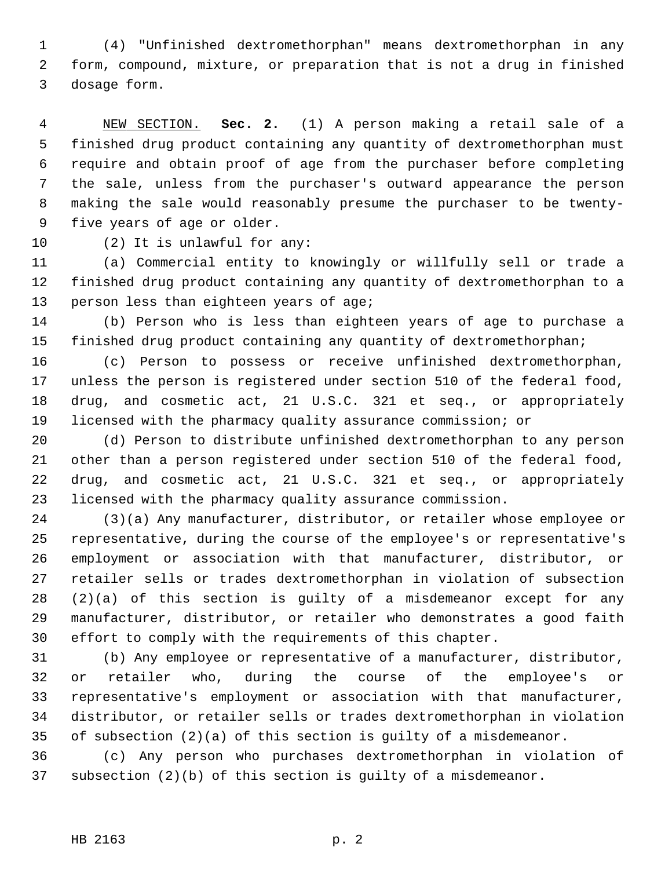1 (4) "Unfinished dextromethorphan" means dextromethorphan in any 2 form, compound, mixture, or preparation that is not a drug in finished 3 dosage form.

 4 NEW SECTION. **Sec. 2.** (1) A person making a retail sale of a 5 finished drug product containing any quantity of dextromethorphan must 6 require and obtain proof of age from the purchaser before completing 7 the sale, unless from the purchaser's outward appearance the person 8 making the sale would reasonably presume the purchaser to be twenty- 9 five years of age or older.

10 (2) It is unlawful for any:

11 (a) Commercial entity to knowingly or willfully sell or trade a 12 finished drug product containing any quantity of dextromethorphan to a 13 person less than eighteen years of age;

14 (b) Person who is less than eighteen years of age to purchase a 15 finished drug product containing any quantity of dextromethorphan;

16 (c) Person to possess or receive unfinished dextromethorphan, 17 unless the person is registered under section 510 of the federal food, 18 drug, and cosmetic act, 21 U.S.C. 321 et seq., or appropriately 19 licensed with the pharmacy quality assurance commission; or

20 (d) Person to distribute unfinished dextromethorphan to any person 21 other than a person registered under section 510 of the federal food, 22 drug, and cosmetic act, 21 U.S.C. 321 et seq., or appropriately 23 licensed with the pharmacy quality assurance commission.

24 (3)(a) Any manufacturer, distributor, or retailer whose employee or 25 representative, during the course of the employee's or representative's 26 employment or association with that manufacturer, distributor, or 27 retailer sells or trades dextromethorphan in violation of subsection 28 (2)(a) of this section is guilty of a misdemeanor except for any 29 manufacturer, distributor, or retailer who demonstrates a good faith 30 effort to comply with the requirements of this chapter.

31 (b) Any employee or representative of a manufacturer, distributor, 32 or retailer who, during the course of the employee's or 33 representative's employment or association with that manufacturer, 34 distributor, or retailer sells or trades dextromethorphan in violation 35 of subsection (2)(a) of this section is guilty of a misdemeanor.

36 (c) Any person who purchases dextromethorphan in violation of 37 subsection (2)(b) of this section is guilty of a misdemeanor.